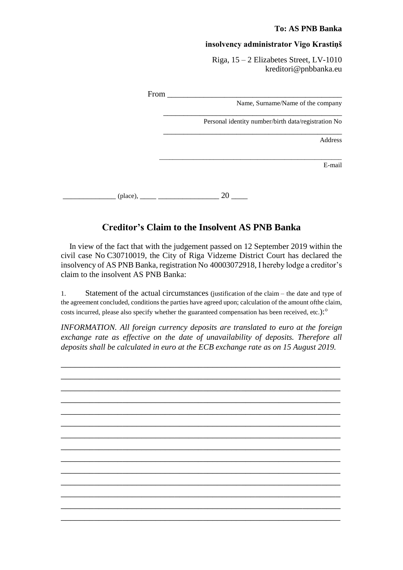## **To: AS PNB Banka**

## **insolvency administrator Vigo Krastiņš**

Riga, 15 – 2 Elizabetes Street, LV-1010 kreditori@pnbbanka.eu

|                                                     | From $_{-}$ |
|-----------------------------------------------------|-------------|
| Name, Surname/Name of the company                   |             |
| Personal identity number/birth data/registration No |             |
| Address                                             |             |
| E-mail                                              |             |
| 20                                                  | (place),    |

## **Creditor's Claim to the Insolvent AS PNB Banka**

 In view of the fact that with the judgement passed on 12 September 2019 within the civil case No C30710019, the City of Riga Vidzeme District Court has declared the insolvency of AS PNB Banka, registration No 40003072918, I hereby lodge a creditor's claim to the insolvent AS PNB Banka:

1. Statement of the actual circumstances (justification of the claim – the date and type of the agreement concluded, conditions the parties have agreed upon; calculation of the amount ofthe claim, costs incurred, please also specify whether the guaranteed compensation has been received, etc.):<sup>o</sup>

*INFORMATION. All foreign currency deposits are translated to euro at the foreign exchange rate as effective on the date of unavailability of deposits. Therefore all deposits shall be calculated in euro at the ECB exchange rate as on 15 August 2019.*

\_\_\_\_\_\_\_\_\_\_\_\_\_\_\_\_\_\_\_\_\_\_\_\_\_\_\_\_\_\_\_\_\_\_\_\_\_\_\_\_\_\_\_\_\_\_\_\_\_\_\_\_\_\_\_\_\_\_\_ \_\_\_\_\_\_\_\_\_\_\_\_\_\_\_\_\_\_\_\_\_\_\_\_\_\_\_\_\_\_\_\_\_\_\_\_\_\_\_\_\_\_\_\_\_\_\_\_\_\_\_\_\_\_\_\_\_\_\_ \_\_\_\_\_\_\_\_\_\_\_\_\_\_\_\_\_\_\_\_\_\_\_\_\_\_\_\_\_\_\_\_\_\_\_\_\_\_\_\_\_\_\_\_\_\_\_\_\_\_\_\_\_\_\_\_\_\_\_ \_\_\_\_\_\_\_\_\_\_\_\_\_\_\_\_\_\_\_\_\_\_\_\_\_\_\_\_\_\_\_\_\_\_\_\_\_\_\_\_\_\_\_\_\_\_\_\_\_\_\_\_\_\_\_\_\_\_\_ \_\_\_\_\_\_\_\_\_\_\_\_\_\_\_\_\_\_\_\_\_\_\_\_\_\_\_\_\_\_\_\_\_\_\_\_\_\_\_\_\_\_\_\_\_\_\_\_\_\_\_\_\_\_\_\_\_\_\_ \_\_\_\_\_\_\_\_\_\_\_\_\_\_\_\_\_\_\_\_\_\_\_\_\_\_\_\_\_\_\_\_\_\_\_\_\_\_\_\_\_\_\_\_\_\_\_\_\_\_\_\_\_\_\_\_\_\_\_ \_\_\_\_\_\_\_\_\_\_\_\_\_\_\_\_\_\_\_\_\_\_\_\_\_\_\_\_\_\_\_\_\_\_\_\_\_\_\_\_\_\_\_\_\_\_\_\_\_\_\_\_\_\_\_\_\_\_\_ \_\_\_\_\_\_\_\_\_\_\_\_\_\_\_\_\_\_\_\_\_\_\_\_\_\_\_\_\_\_\_\_\_\_\_\_\_\_\_\_\_\_\_\_\_\_\_\_\_\_\_\_\_\_\_\_\_\_\_ \_\_\_\_\_\_\_\_\_\_\_\_\_\_\_\_\_\_\_\_\_\_\_\_\_\_\_\_\_\_\_\_\_\_\_\_\_\_\_\_\_\_\_\_\_\_\_\_\_\_\_\_\_\_\_\_\_\_\_ \_\_\_\_\_\_\_\_\_\_\_\_\_\_\_\_\_\_\_\_\_\_\_\_\_\_\_\_\_\_\_\_\_\_\_\_\_\_\_\_\_\_\_\_\_\_\_\_\_\_\_\_\_\_\_\_\_\_\_ \_\_\_\_\_\_\_\_\_\_\_\_\_\_\_\_\_\_\_\_\_\_\_\_\_\_\_\_\_\_\_\_\_\_\_\_\_\_\_\_\_\_\_\_\_\_\_\_\_\_\_\_\_\_\_\_\_\_\_ \_\_\_\_\_\_\_\_\_\_\_\_\_\_\_\_\_\_\_\_\_\_\_\_\_\_\_\_\_\_\_\_\_\_\_\_\_\_\_\_\_\_\_\_\_\_\_\_\_\_\_\_\_\_\_\_\_\_\_ \_\_\_\_\_\_\_\_\_\_\_\_\_\_\_\_\_\_\_\_\_\_\_\_\_\_\_\_\_\_\_\_\_\_\_\_\_\_\_\_\_\_\_\_\_\_\_\_\_\_\_\_\_\_\_\_\_\_\_ \_\_\_\_\_\_\_\_\_\_\_\_\_\_\_\_\_\_\_\_\_\_\_\_\_\_\_\_\_\_\_\_\_\_\_\_\_\_\_\_\_\_\_\_\_\_\_\_\_\_\_\_\_\_\_\_\_\_\_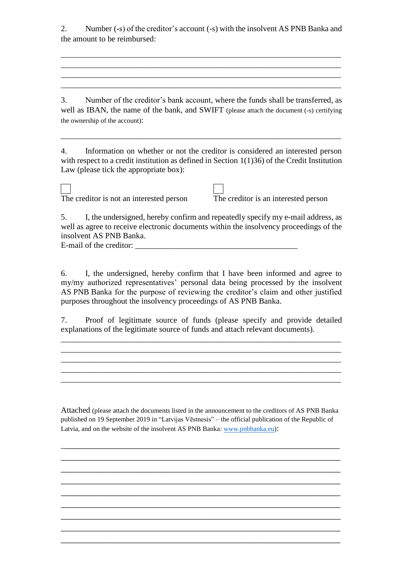2. Number (-s) of the creditor's account (-s) with the insolvent AS PNB Banka and the amount to be reimbursed:

\_\_\_\_\_\_\_\_\_\_\_\_\_\_\_\_\_\_\_\_\_\_\_\_\_\_\_\_\_\_\_\_\_\_\_\_\_\_\_\_\_\_\_\_\_\_\_\_\_\_\_\_\_\_\_\_\_\_\_\_\_\_\_\_\_\_\_\_\_ \_\_\_\_\_\_\_\_\_\_\_\_\_\_\_\_\_\_\_\_\_\_\_\_\_\_\_\_\_\_\_\_\_\_\_\_\_\_\_\_\_\_\_\_\_\_\_\_\_\_\_\_\_\_\_\_\_\_\_\_\_\_\_\_\_\_\_\_\_ \_\_\_\_\_\_\_\_\_\_\_\_\_\_\_\_\_\_\_\_\_\_\_\_\_\_\_\_\_\_\_\_\_\_\_\_\_\_\_\_\_\_\_\_\_\_\_\_\_\_\_\_\_\_\_\_\_\_\_\_\_\_\_\_\_\_\_\_\_ \_\_\_\_\_\_\_\_\_\_\_\_\_\_\_\_\_\_\_\_\_\_\_\_\_\_\_\_\_\_\_\_\_\_\_\_\_\_\_\_\_\_\_\_\_\_\_\_\_\_\_\_\_\_\_\_\_\_\_\_\_\_\_\_\_\_\_\_\_

3. Number of the creditor's bank account, where the funds shall be transferred, as well as IBAN, the name of the bank, and SWIFT (please attach the document (-s) certifying the ownership of the account):

4. Information on whether or not the creditor is considered an interested person with respect to a credit institution as defined in Section 1(1)36) of the Credit Institution Law (please tick the appropriate box):

\_\_\_\_\_\_\_\_\_\_\_\_\_\_\_\_\_\_\_\_\_\_\_\_\_\_\_\_\_\_\_\_\_\_\_\_\_\_\_\_\_\_\_\_\_\_\_\_\_\_\_\_\_\_\_\_\_\_\_\_\_\_\_\_\_\_\_\_\_

The creditor is not an interested person The creditor is an interested person



5. I, the undersigned, hereby confirm and repeatedly specify my e-mail address, as well as agree to receive electronic documents within the insolvency proceedings of the insolvent AS PNB Banka. E-mail of the creditor: \_\_\_\_\_\_\_\_\_\_\_\_\_\_\_\_\_\_\_\_\_\_\_\_\_\_\_\_\_\_\_\_\_\_\_\_\_\_\_\_

6. I, the undersigned, hereby confirm that I have been informed and agree to my/my authorized representatives' personal data being processed by the insolvent AS PNB Banka for the purpose of reviewing the creditor's claim and other justified purposes throughout the insolvency proceedings of AS PNB Banka.

7. Proof of legitimate source of funds (please specify and provide detailed explanations of the legitimate source of funds and attach relevant documents).

\_\_\_\_\_\_\_\_\_\_\_\_\_\_\_\_\_\_\_\_\_\_\_\_\_\_\_\_\_\_\_\_\_\_\_\_\_\_\_\_\_\_\_\_\_\_\_\_\_\_\_\_\_\_\_\_\_\_\_\_\_\_\_\_\_\_\_\_\_  $\mathcal{L}_\mathcal{L} = \{ \mathcal{L}_\mathcal{L} = \{ \mathcal{L}_\mathcal{L} = \{ \mathcal{L}_\mathcal{L} = \{ \mathcal{L}_\mathcal{L} = \{ \mathcal{L}_\mathcal{L} = \{ \mathcal{L}_\mathcal{L} = \{ \mathcal{L}_\mathcal{L} = \{ \mathcal{L}_\mathcal{L} = \{ \mathcal{L}_\mathcal{L} = \{ \mathcal{L}_\mathcal{L} = \{ \mathcal{L}_\mathcal{L} = \{ \mathcal{L}_\mathcal{L} = \{ \mathcal{L}_\mathcal{L} = \{ \mathcal{L}_\mathcal{$ 

\_\_\_\_\_\_\_\_\_\_\_\_\_\_\_\_\_\_\_\_\_\_\_\_\_\_\_\_\_\_\_\_\_\_\_\_\_\_\_\_\_\_\_\_\_\_\_\_\_\_\_\_\_\_\_\_\_\_\_\_\_\_\_\_\_\_\_\_\_

Attached (please attach the documents listed in the announcement to the creditors of AS PNB Banka published on 19 September 2019 in "Latvijas Vēstnesis" – the official publication of the Republic of Latvia, and on the website of the insolvent AS PNB Banka: [www.pnbbanka.eu\)](http://www.pnbbanka.eu/):

\_\_\_\_\_\_\_\_\_\_\_\_\_\_\_\_\_\_\_\_\_\_\_\_\_\_\_\_\_\_\_\_\_\_\_\_\_\_\_\_\_\_\_\_\_\_\_\_\_\_\_\_\_\_\_\_\_\_\_ \_\_\_\_\_\_\_\_\_\_\_\_\_\_\_\_\_\_\_\_\_\_\_\_\_\_\_\_\_\_\_\_\_\_\_\_\_\_\_\_\_\_\_\_\_\_\_\_\_\_\_\_\_\_\_\_\_\_\_ \_\_\_\_\_\_\_\_\_\_\_\_\_\_\_\_\_\_\_\_\_\_\_\_\_\_\_\_\_\_\_\_\_\_\_\_\_\_\_\_\_\_\_\_\_\_\_\_\_\_\_\_\_\_\_\_\_\_\_ \_\_\_\_\_\_\_\_\_\_\_\_\_\_\_\_\_\_\_\_\_\_\_\_\_\_\_\_\_\_\_\_\_\_\_\_\_\_\_\_\_\_\_\_\_\_\_\_\_\_\_\_\_\_\_\_\_\_\_ \_\_\_\_\_\_\_\_\_\_\_\_\_\_\_\_\_\_\_\_\_\_\_\_\_\_\_\_\_\_\_\_\_\_\_\_\_\_\_\_\_\_\_\_\_\_\_\_\_\_\_\_\_\_\_\_\_\_\_ \_\_\_\_\_\_\_\_\_\_\_\_\_\_\_\_\_\_\_\_\_\_\_\_\_\_\_\_\_\_\_\_\_\_\_\_\_\_\_\_\_\_\_\_\_\_\_\_\_\_\_\_\_\_\_\_\_\_\_ \_\_\_\_\_\_\_\_\_\_\_\_\_\_\_\_\_\_\_\_\_\_\_\_\_\_\_\_\_\_\_\_\_\_\_\_\_\_\_\_\_\_\_\_\_\_\_\_\_\_\_\_\_\_\_\_\_\_\_ \_\_\_\_\_\_\_\_\_\_\_\_\_\_\_\_\_\_\_\_\_\_\_\_\_\_\_\_\_\_\_\_\_\_\_\_\_\_\_\_\_\_\_\_\_\_\_\_\_\_\_\_\_\_\_\_\_\_\_ \_\_\_\_\_\_\_\_\_\_\_\_\_\_\_\_\_\_\_\_\_\_\_\_\_\_\_\_\_\_\_\_\_\_\_\_\_\_\_\_\_\_\_\_\_\_\_\_\_\_\_\_\_\_\_\_\_\_\_